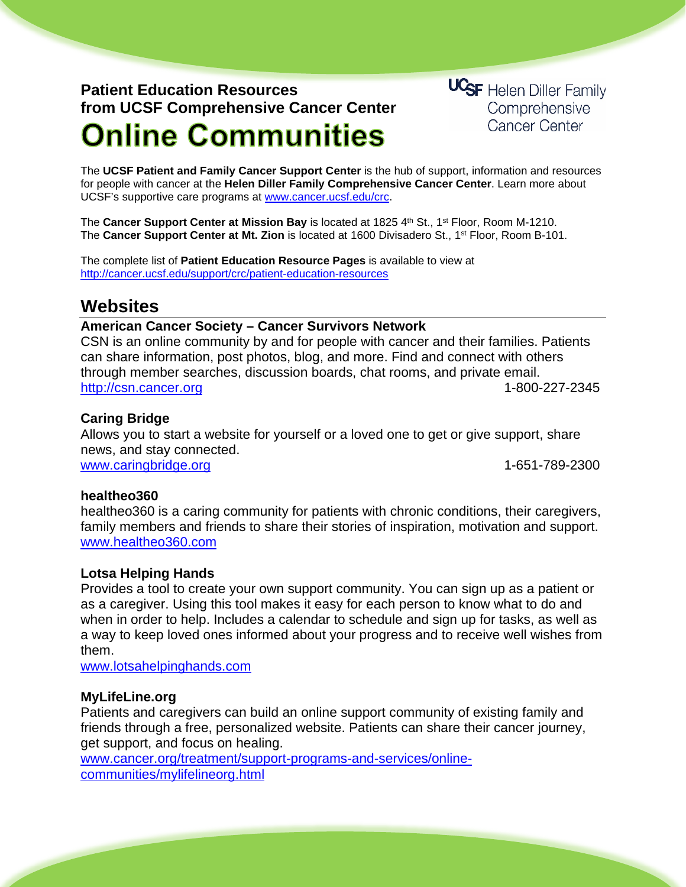# **Patient Education Resources from UCSF Comprehensive Cancer Center Online Communities**

**UCSF** Helen Diller Family Comprehensive **Cancer Center** 

The **UCSF Patient and Family Cancer Support Center** is the hub of support, information and resources for people with cancer at the **Helen Diller Family Comprehensive Cancer Center**. Learn more about UCSF's supportive care programs at [www.cancer.ucsf.edu/crc.](http://www.cancer.ucsf.edu/crc)

The **Cancer Support Center at Mission Bay** is located at 1825 4th St., 1<sup>st</sup> Floor, Room M-1210. The **Cancer Support Center at Mt. Zion** is located at 1600 Divisadero St., 1st Floor, Room B-101.

The complete list of **Patient Education Resource Pages** is available to view at <http://cancer.ucsf.edu/support/crc/patient-education-resources>

## **Websites**

#### **American Cancer Society – [Cancer Survivors Network](http://csn.cancer.org/)**

CSN is an online community by and for people with cancer and their families. Patients can share information, post photos, blog, and more. Find and connect with others through member searches, discussion boards, chat rooms, and private email. [http://csn.cancer.org](http://csn.cancer.org/) 1-800-227-2345

### **Caring Bridge**

Allows you to start a website for yourself or a loved one to get or give support, share news, and stay connected. [www.caringbridge.org](http://www.caringbridge.org/) 1-651-789-2300

#### **healtheo360**

healtheo360 is a caring community for patients with chronic conditions, their caregivers, family members and friends to share their stories of inspiration, motivation and support. [www.healtheo360.com](http://www.healtheo360.com/)

#### **Lotsa Helping Hands**

Provides a tool to create your own support community. You can sign up as a patient or as a caregiver. Using this tool makes it easy for each person to know what to do and when in order to help. Includes a calendar to schedule and sign up for tasks, as well as a way to keep loved ones informed about your progress and to receive well wishes from them.

[www.lotsahelpinghands.com](http://www.lotsahelpinghands.com/)

#### **[MyLifeLine.org](http://csn.cancer.org/)**

Patients and caregivers can build an online support community of existing family and friends through a free, personalized website. Patients can share their cancer journey, get support, and focus on healing.

[www.cancer.org/treatment/support-programs-and-services/online](http://www.cancer.org/treatment/support-programs-and-services/online-communities/mylifelineorg.html)[communities/mylifelineorg.html](http://www.cancer.org/treatment/support-programs-and-services/online-communities/mylifelineorg.html)